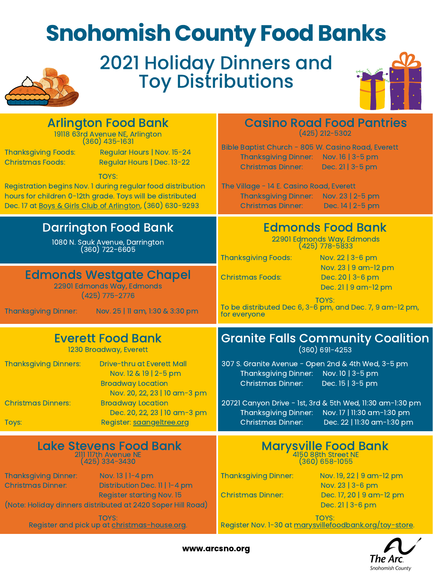## Snohomish County Food Banks 2021 Holiday Dinners and Toy Distributions Arlington Food Bank Thanksgiving Foods: Regular Hours | Nov. 15-24 Christmas Foods: Regular Hours | Dec. 13-22 TOYS: Registration begins Nov. 1 during regular food distribution hours for children 0-12th grade. Toys will be distributed Dec. 17 at Boys & Girls Club of [Arlington,](https://bgcsc.org/snohomish-clubs/arlington-club/) (360) 630-9293 19118 63rd Avenue NE, Arlington (360) 435-1631 **Casino Road Food Pantries** (425) 212-5302 Bible Baptist Church - 805 W. Casino Road, Everett Thanksgiving Dinner: Nov. 16 | 3-5 pm Christmas Dinner: Dec. 21 | 3-5 pm The Village - 14 E. Casino Road, Everett Thanksgiving Dinner: Nov. 23 | 2-5 pm Christmas Dinner: Dec. 14 | 2-5 pm Darrington Food Bank 1080 N. Sauk Avenue, Darrington (360) 722-6605 Edmonds Food Bank 22901 Edmonds Way, Edmonds (425) 778-5833 Thanksgiving Foods: Nov. 22 | 3-6 pm Nov. 23 | 9 am-12 pm Christmas Foods: Dec. 20 | 3-6 pm Dec. 21 | 9 am-12 pm TOYS: Edmonds Westgate Chapel 22901 Edmonds Way, Edmonds (425) 775-2776

| Nov. 25   11 am, 1:30 & 3:30 pm<br><b>Thanksgiving Dinner:</b>                                                                                         | 1 U Y S.<br>To be distributed Dec 6, 3-6 pm, and Dec. 7, 9 am-12 pm,<br>for everyone                                                                                   |
|--------------------------------------------------------------------------------------------------------------------------------------------------------|------------------------------------------------------------------------------------------------------------------------------------------------------------------------|
| <b>Everett Food Bank</b>                                                                                                                               | <b>Granite Falls Community Coalition</b>                                                                                                                               |
| 1230 Broadway, Everett                                                                                                                                 | $(360) 691 - 4253$                                                                                                                                                     |
| <b>Thanksgiving Dinners:</b><br><b>Drive-thru at Everett Mall</b><br>Nov. 12 & 19   2-5 pm<br><b>Broadway Location</b><br>Nov. 20, 22, 23   10 am-3 pm | 307 S. Granite Avenue - Open 2nd & 4th Wed, 3-5 pm<br>Thanksgiving Dinner: Nov. 10   3-5 pm<br>Dec. 15   3-5 pm<br>Christmas Dinner:                                   |
| <b>Christmas Dinners:</b><br><b>Broadway Location</b><br>Dec. 20, 22, 23   10 am-3 pm<br>Register: saangeltree.org<br>Toys:                            | 20721 Canyon Drive - 1st, 3rd & 5th Wed, 11:30 am-1:30 pm<br>Thanksgiving Dinner: Nov. 17   11:30 am-1:30 pm<br>Dec. 22   11:30 am-1:30 pm<br><b>Christmas Dinner:</b> |
| <b>Lake Stevens Food Bank</b>                                                                                                                          | <b>Marysville Food Bank</b>                                                                                                                                            |
| 2111 117th Avenue NE                                                                                                                                   | 4150 88th Street NE                                                                                                                                                    |
| $(425)$ 334-3430                                                                                                                                       | $(360) 658 - 1055$                                                                                                                                                     |
| <b>Thanksgiving Dinner:</b>                                                                                                                            | <b>Thanksgiving Dinner:</b>                                                                                                                                            |
| Nov. $13 \mid 1 - 4$ pm                                                                                                                                | Nov. 19, 22   9 am-12 pm                                                                                                                                               |
| Distribution Dec. 11   1-4 pm                                                                                                                          | Nov. 23   3-6 pm                                                                                                                                                       |
| <b>Christmas Dinner:</b>                                                                                                                               | Dec. 17, 20   9 am-12 pm                                                                                                                                               |
| <b>Register starting Nov. 15</b>                                                                                                                       | <b>Christmas Dinner:</b>                                                                                                                                               |
| (Note: Holiday dinners distributed at 2420 Soper Hill Road)                                                                                            | Dec. 21   3-6 pm                                                                                                                                                       |
| <b>TOYS:</b>                                                                                                                                           | <b>TOYS:</b>                                                                                                                                                           |
| Register and pick up at christmas-house.org.                                                                                                           | Register Nov. 1-30 at marysvillefoodbank.org/toy-store.                                                                                                                |

www.arcsno.org